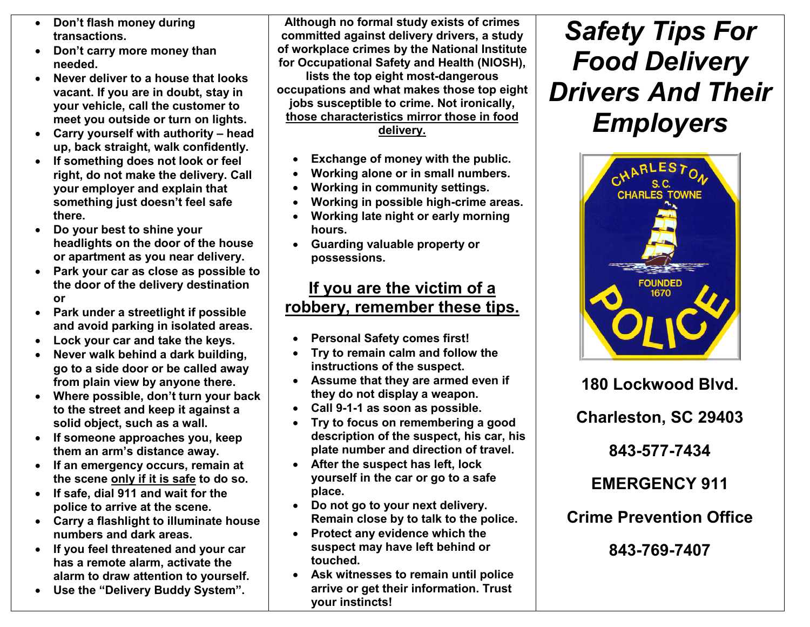- • Don't flash money during transactions.
- Don't carry more money than needed.
- Never deliver to a house that looks vacant. If you are in doubt, stay in your vehicle, call the customer to meet you outside or turn on lights.
- Carry yourself with authority head up, back straight, walk confidently.
- If something does not look or feel right, do not make the delivery. Call your employer and explain that something just doesn't feel safe there.
- Do your best to shine your headlights on the door of the house or apartment as you near delivery.
- Park your car as close as possible to the door of the delivery destination or
- Park under a streetlight if possible and avoid parking in isolated areas.
- Lock your car and take the keys.
- • Never walk behind a dark building, go to a side door or be called away from plain view by anyone there.
- Where possible, don't turn your back to the street and keep it against a solid object, such as a wall.
- If someone approaches you, keep them an arm's distance away.
- If an emergency occurs, remain at the scene only if it is safe to do so.
- If safe, dial 911 and wait for the police to arrive at the scene.
- Carry a flashlight to illuminate house numbers and dark areas.
- If you feel threatened and your car has a remote alarm, activate the alarm to draw attention to yourself.
- Use the "Delivery Buddy System".

Although no formal study exists of crimes committed against delivery drivers, a study of workplace crimes by the National Institute for Occupational Safety and Health (NIOSH), lists the top eight most-dangerous occupations and what makes those top eight jobs susceptible to crime. Not ironically, those characteristics mirror those in food delivery.

- •Exchange of money with the public.
- •Working alone or in small numbers.
- •Working in community settings.
- •Working in possible high-crime areas.
- • Working late night or early morning hours.
- Guarding valuable property or possessions.

# If you are the victim of a robbery, remember these tips.

- •Personal Safety comes first!
- • Try to remain calm and follow the instructions of the suspect.
- Assume that they are armed even if they do not display a weapon.
- Call 9-1-1 as soon as possible.
- • Try to focus on remembering a good description of the suspect, his car, his plate number and direction of travel.
- • After the suspect has left, lock yourself in the car or go to a safe place.
- Do not go to your next delivery. Remain close by to talk to the police.
- • Protect any evidence which the suspect may have left behind or touched.
- Ask witnesses to remain until police arrive or get their information. Trust your instincts!

# Safety Tips For Food Delivery Drivers And Their Employers



180 Lockwood Blvd.

Charleston, SC 29403

843-577-7434

EMERGENCY 911

Crime Prevention Office

843-769-7407